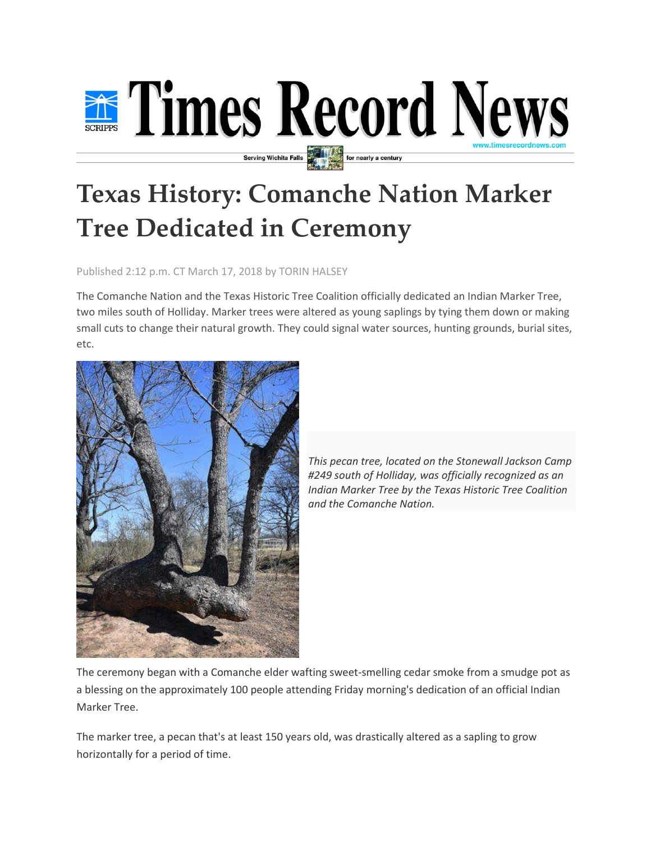

## **Texas History: Comanche Nation Marker Tree Dedicated in Ceremony**

Published 2:12 p.m. CT March 17, 2018 by TORIN HALSEY

The Comanche Nation and the Texas Historic Tree Coalition officially dedicated an Indian Marker Tree, two miles south of Holliday. Marker trees were altered as young saplings by tying them down or making small cuts to change their natural growth. They could signal water sources, hunting grounds, burial sites, etc.



*This pecan tree, located on the Stonewall Jackson Camp #249 south of Holliday, was officially recognized as an Indian Marker Tree by the Texas Historic Tree Coalition and the Comanche Nation.*

The ceremony began with a Comanche elder wafting sweet-smelling cedar smoke from a smudge pot as a blessing on the approximately 100 people attending Friday morning's dedication of an official Indian Marker Tree.

The marker tree, a pecan that's at least 150 years old, was drastically altered as a sapling to grow horizontally for a period of time.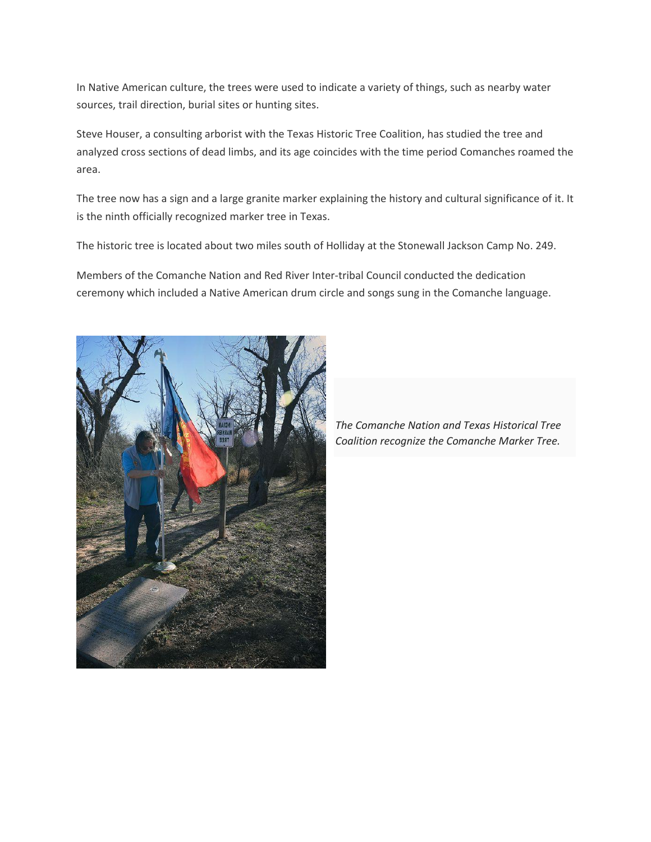In Native American culture, the trees were used to indicate a variety of things, such as nearby water sources, trail direction, burial sites or hunting sites.

Steve Houser, a consulting arborist with the Texas Historic Tree Coalition, has studied the tree and analyzed cross sections of dead limbs, and its age coincides with the time period Comanches roamed the area.

The tree now has a sign and a large granite marker explaining the history and cultural significance of it. It is the ninth officially recognized marker tree in Texas.

The historic tree is located about two miles south of Holliday at the Stonewall Jackson Camp No. 249.

Members of the Comanche Nation and Red River Inter-tribal Council conducted the dedication ceremony which included a Native American drum circle and songs sung in the Comanche language.



*The Comanche Nation and Texas Historical Tree Coalition recognize the Comanche Marker Tree.*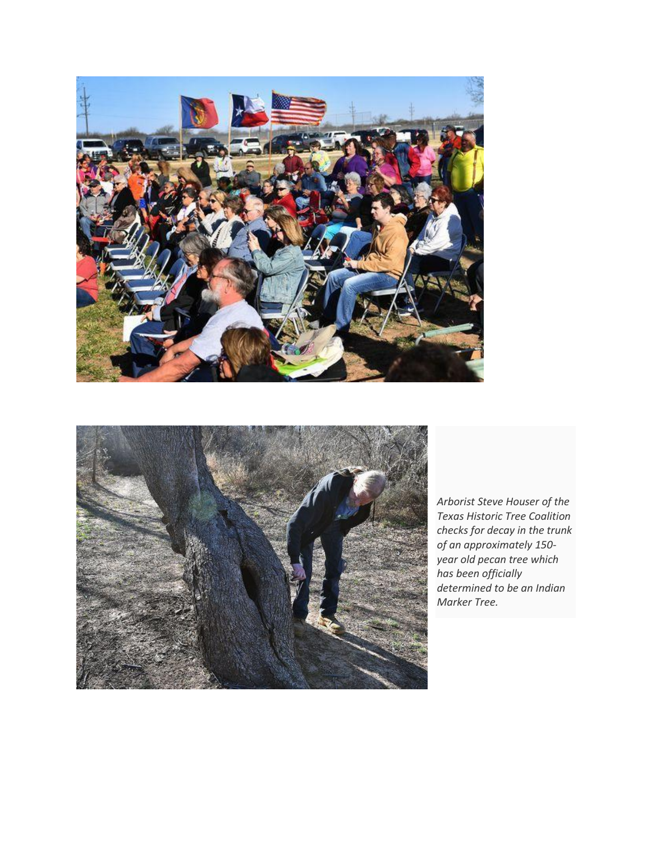



*Arborist Steve Houser of the Texas Historic Tree Coalition checks for decay in the trunk of an approximately 150 year old pecan tree which has been officially determined to be an Indian Marker Tree.*